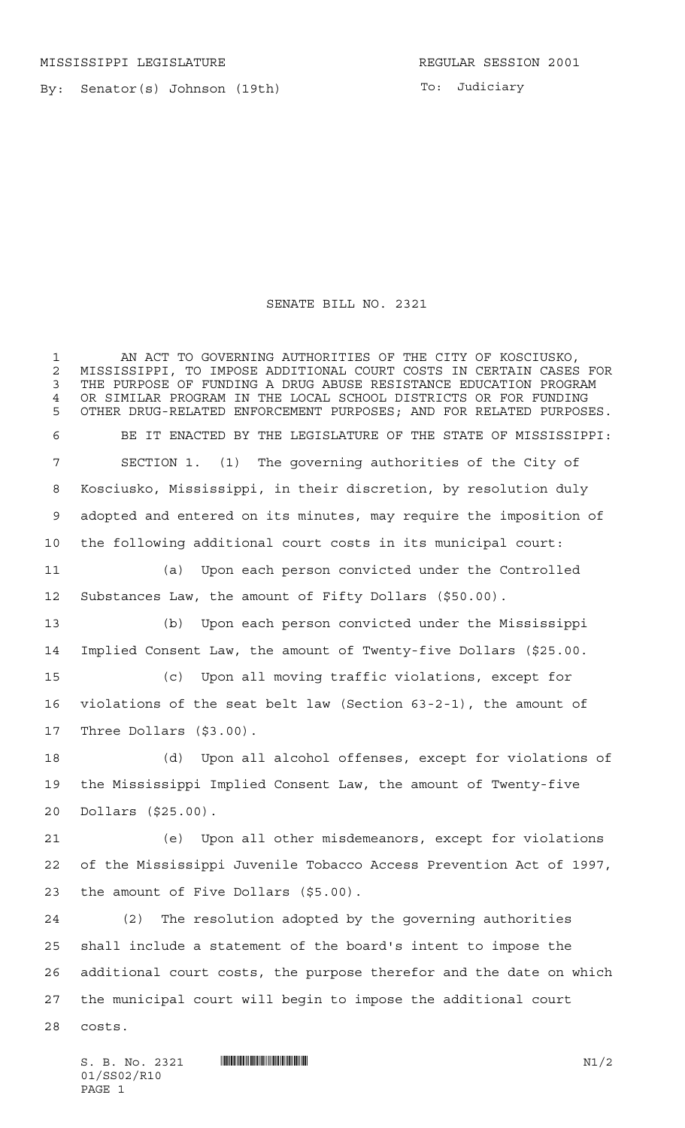By: Senator(s) Johnson (19th)

To: Judiciary

 AN ACT TO GOVERNING AUTHORITIES OF THE CITY OF KOSCIUSKO, 2 MISSISSIPPI, TO IMPOSE ADDITIONAL COURT COSTS IN CERTAIN CASES FOR<br>3 THE PURPOSE OF FUNDING A DRUG ABUSE RESISTANCE EDUCATION PROGRAM

SENATE BILL NO. 2321

THE PURPOSE OF FUNDING A DRUG ABUSE RESISTANCE EDUCATION PROGRAM OR SIMILAR PROGRAM IN THE LOCAL SCHOOL DISTRICTS OR FOR FUNDING OTHER DRUG-RELATED ENFORCEMENT PURPOSES; AND FOR RELATED PURPOSES. BE IT ENACTED BY THE LEGISLATURE OF THE STATE OF MISSISSIPPI: SECTION 1. (1) The governing authorities of the City of Kosciusko, Mississippi, in their discretion, by resolution duly adopted and entered on its minutes, may require the imposition of the following additional court costs in its municipal court: (a) Upon each person convicted under the Controlled Substances Law, the amount of Fifty Dollars (\$50.00). (b) Upon each person convicted under the Mississippi Implied Consent Law, the amount of Twenty-five Dollars (\$25.00. (c) Upon all moving traffic violations, except for violations of the seat belt law (Section 63-2-1), the amount of Three Dollars (\$3.00). (d) Upon all alcohol offenses, except for violations of the Mississippi Implied Consent Law, the amount of Twenty-five Dollars (\$25.00). (e) Upon all other misdemeanors, except for violations of the Mississippi Juvenile Tobacco Access Prevention Act of 1997, the amount of Five Dollars (\$5.00). (2) The resolution adopted by the governing authorities shall include a statement of the board's intent to impose the additional court costs, the purpose therefor and the date on which the municipal court will begin to impose the additional court costs.

 $S. B. No. 2321$   $\blacksquare$   $\blacksquare$   $\blacksquare$   $\blacksquare$   $\blacksquare$   $\blacksquare$   $\blacksquare$   $\blacksquare$   $\blacksquare$   $\blacksquare$   $\blacksquare$   $\blacksquare$   $\blacksquare$   $\blacksquare$   $\blacksquare$   $\blacksquare$   $\blacksquare$   $\blacksquare$   $\blacksquare$   $\blacksquare$   $\blacksquare$   $\blacksquare$   $\blacksquare$   $\blacksquare$   $\blacksquare$   $\blacksquare$   $\blacksquare$   $\blacksquare$   $\blacksquare$   $\blacks$ 01/SS02/R10 PAGE 1